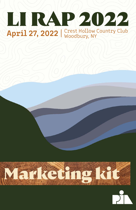



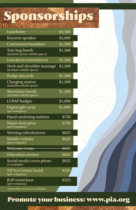Sponsorships

| <b>Luncheon</b>                                       | $\sqrt{2,500}$ |  |
|-------------------------------------------------------|----------------|--|
| Keynote speaker                                       | \$2,000        |  |
| <b>Continental breakfast</b>                          | \$1,500        |  |
| Tote bag booth<br>(includes prime exhibit space)      | \$1,500        |  |
| Luncheon centerpieces                                 | \$1,200        |  |
| Neck and shoulder massage<br>(includes exhibit space) | \$1,200        |  |
| <b>Badge lanyards</b>                                 | \$1,200        |  |
| <b>Charging station</b><br>(includes exhibit space)   | \$1,200        |  |
| Shoeshine booth<br>(includes exhibit space)           | \$1,200        |  |
| LI RAP badges                                         | \$1,000        |  |
| Digital gift cards<br>(per company)                   | \$1,000        |  |
| <b>Hand sanitizing stations</b>                       | \$750          |  |
| Major door prize<br>(per company)                     | \$750          |  |
| <b>Meeting refreshments</b>                           | \$625          |  |
| Mobile website<br>(per company)                       | \$625          |  |
| Welcome treats                                        | $\sqrt{$625}$  |  |
| <b>Education session</b>                              | \$625          |  |
| Social media cover photo<br>$(2$ available)           | \$625          |  |
| <b>YIP Ice Cream Social</b><br>(per company)          | \$525          |  |
| <b>RAP</b> event host<br>(per company)                | \$525          |  |
|                                                       |                |  |

 *Sponsorships are based on availability.*

## Promote your business: www.pia.org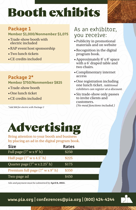# Booth exhibits

#### Package 1

Member \$1,000/Nonmember \$1,075

- •Trade-show booth with electric included
- •RAP event host sponsorship
- •Two lunch tickets
- •CE credits included

#### Package 2\*

Member \$750/Nonmember \$825

- Trade-show booth
- •One lunch ticket
- •CE credits included

*\*Add \$60 for electric with Package 2*

#### As an exhibitor, you receive:

- •Publicity in promotional materials and on website
- •Recognition in the digital program book.
- •Approximately 8' x 8' space with a 6' draped table and two chairs.
- •Complimentary internet access
- •One registration including one lunch ticket. *Additional exhibitors can register at a discount.*
- Six trade-show only passes to invite clients and customers. *(No meal functions included.)*



Bring attention to your booth and business by placing an ad in the digital program book.

| <b>Size</b>                                      | <b>Rates</b> |  |
|--------------------------------------------------|--------------|--|
| Full page $(7" w x 9" h)$                        | \$250        |  |
| Half page $(7" w x 4.5" h)$                      | \$225        |  |
| Quarter page $(7" \text{ w x } 2.25" \text{ h})$ | \$175        |  |
| Premium full page (7" w x 9" h)                  | \$350        |  |
| Two-page ad                                      | \$450        |  |

Ads and payment must be submitted by **April 8, 2022.**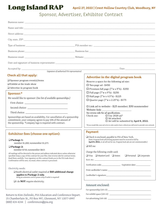

Sponsor, Advertiser, Exhibitor Contract

| Name and title:                                                                                                                                                                         |                                                                                                                                                        |  |
|-----------------------------------------------------------------------------------------------------------------------------------------------------------------------------------------|--------------------------------------------------------------------------------------------------------------------------------------------------------|--|
|                                                                                                                                                                                         |                                                                                                                                                        |  |
|                                                                                                                                                                                         |                                                                                                                                                        |  |
|                                                                                                                                                                                         |                                                                                                                                                        |  |
|                                                                                                                                                                                         |                                                                                                                                                        |  |
|                                                                                                                                                                                         |                                                                                                                                                        |  |
|                                                                                                                                                                                         |                                                                                                                                                        |  |
|                                                                                                                                                                                         |                                                                                                                                                        |  |
| (signature of authorized PIA representative)<br>Check all that apply:                                                                                                                   |                                                                                                                                                        |  |
|                                                                                                                                                                                         | Advertise in the digital program book                                                                                                                  |  |
| $\Box$ Sponsor program event(s)/items<br>$\Box$ Exhibit at the trade show                                                                                                               | Reserve a space for the following ad size:                                                                                                             |  |
|                                                                                                                                                                                         | $\Box$ Two-page ad-\$450                                                                                                                               |  |
| $\Box$ Advertise in program book                                                                                                                                                        | $\Box$ Premium full page (7"w x 9"h)-\$350                                                                                                             |  |
| Sponsor:*                                                                                                                                                                               | $\Box$ Full page (7"w x 9"h) - \$250                                                                                                                   |  |
| We would like to sponsor: (See list of available sponsorships.)                                                                                                                         | $\Box$ Half page (7"w x 4.5"h) - \$225                                                                                                                 |  |
|                                                                                                                                                                                         | $\Box$ Quarter page (7"w x 2.25"h) - \$175                                                                                                             |  |
|                                                                                                                                                                                         | $\Box$ Link ad to website - \$25 member; \$50 nonmember                                                                                                |  |
|                                                                                                                                                                                         | See reverse side for ad specifications.                                                                                                                |  |
| Sponsorships are based on availability. For cancellation of a sponsorship                                                                                                               | $\Box$ Use 2020 ad.*<br>Check one:                                                                                                                     |  |
| commitment, your company agrees to pay 50% of the amount of                                                                                                                             | $\Box$ Ad attached.<br>$\Box$ Art will be submitted by April 8, 2022.                                                                                  |  |
| the sponsorship. *Company logo is required with contract.                                                                                                                               | *If you would like your ad to be in color and/or have a bleed you will need to provide new artwork.                                                    |  |
|                                                                                                                                                                                         |                                                                                                                                                        |  |
| <b>Exhibitor fees (choose one option):</b>                                                                                                                                              | <b>Payment</b>                                                                                                                                         |  |
|                                                                                                                                                                                         | $\Box$ Check is enclosed, payable to PIA of New York.                                                                                                  |  |
| Package 1:<br>member \$1,000; nonmember \$1,075                                                                                                                                         | (Note: Program book advertising payment must be received in full by<br>April 8, 2022, or ad will not be run. Program book ads are not commissionable.) |  |
| □ Package 2:                                                                                                                                                                            | $\Box$ Bill me                                                                                                                                         |  |
| member \$750: nonmember \$825                                                                                                                                                           |                                                                                                                                                        |  |
| All mailings will be directed to the person and address indicated above unless otherwise                                                                                                | Charge the following credit card:                                                                                                                      |  |
| specified. Keep a copy of this contract for your files. (See reverse side for contract terms.<br>Read them carefully. Your signature on this contract binds you to the PIA trade show.) | $\Box$ Visa $\Box$ MasterCard $\Box$ Amex<br>$\Box$ Personal $\Box$ Corporate                                                                          |  |
| Confirmation will be sent, via email, when contract is processed.                                                                                                                       |                                                                                                                                                        |  |
|                                                                                                                                                                                         |                                                                                                                                                        |  |
| Electricity needs:                                                                                                                                                                      |                                                                                                                                                        |  |
| □ Booth electrical outlet required at \$60 additional charge                                                                                                                            |                                                                                                                                                        |  |
| applies to Package 2 only.<br>Bring an extension cord or power strip if outlet is required!                                                                                             |                                                                                                                                                        |  |
| $\Box$ I do <b>NOT</b> require electricity.                                                                                                                                             |                                                                                                                                                        |  |
|                                                                                                                                                                                         | Amount enclosed:                                                                                                                                       |  |
|                                                                                                                                                                                         |                                                                                                                                                        |  |
|                                                                                                                                                                                         |                                                                                                                                                        |  |
| Return to Kim Zielinski, PIA Education and Conference Depart.                                                                                                                           |                                                                                                                                                        |  |

For advertising  $(103-20)$ 

25 Chamberlain St., PO Box 997, Glenmont, NY 12077-0997 (800) 424-4244 | conferences@pia.org